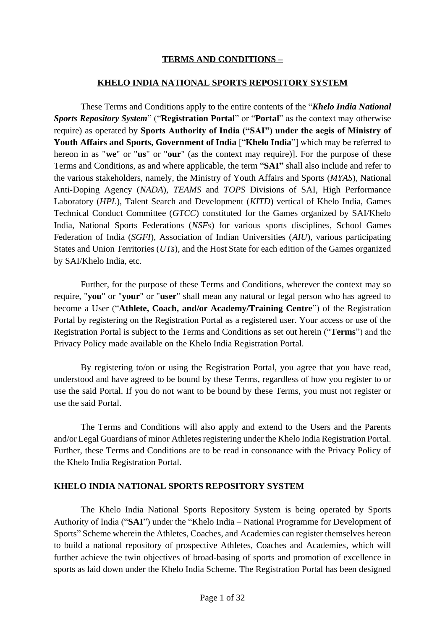### **TERMS AND CONDITIONS –**

#### **KHELO INDIA NATIONAL SPORTS REPOSITORY SYSTEM**

These Terms and Conditions apply to the entire contents of the "*Khelo India National Sports Repository System*" ("**Registration Portal**" or "**Portal**" as the context may otherwise require) as operated by **Sports Authority of India ("SAI") under the aegis of Ministry of Youth Affairs and Sports, Government of India** ["**Khelo India**"] which may be referred to hereon in as "**we**" or "**us**" or "**our**" (as the context may require)]. For the purpose of these Terms and Conditions, as and where applicable, the term "**SAI"** shall also include and refer to the various stakeholders, namely, the Ministry of Youth Affairs and Sports (*MYAS*), National Anti-Doping Agency (*NADA*), *TEAMS* and *TOPS* Divisions of SAI, High Performance Laboratory (*HPL*), Talent Search and Development (*KITD*) vertical of Khelo India, Games Technical Conduct Committee (*GTCC*) constituted for the Games organized by SAI/Khelo India, National Sports Federations (*NSFs*) for various sports disciplines, School Games Federation of India (*SGFI*), Association of Indian Universities (*AIU*), various participating States and Union Territories (*UTs*), and the Host State for each edition of the Games organized by SAI/Khelo India, etc.

Further, for the purpose of these Terms and Conditions, wherever the context may so require, "**you**" or "**your**" or "**user**" shall mean any natural or legal person who has agreed to become a User ("**Athlete, Coach, and/or Academy/Training Centre**") of the Registration Portal by registering on the Registration Portal as a registered user. Your access or use of the Registration Portal is subject to the Terms and Conditions as set out herein ("**Terms**") and the Privacy Policy made available on the Khelo India Registration Portal.

By registering to/on or using the Registration Portal, you agree that you have read, understood and have agreed to be bound by these Terms, regardless of how you register to or use the said Portal. If you do not want to be bound by these Terms, you must not register or use the said Portal.

The Terms and Conditions will also apply and extend to the Users and the Parents and/or Legal Guardians of minor Athletes registering under the Khelo India Registration Portal. Further, these Terms and Conditions are to be read in consonance with the Privacy Policy of the Khelo India Registration Portal.

#### **KHELO INDIA NATIONAL SPORTS REPOSITORY SYSTEM**

The Khelo India National Sports Repository System is being operated by Sports Authority of India ("**SAI**") under the "Khelo India – National Programme for Development of Sports" Scheme wherein the Athletes, Coaches, and Academies can register themselves hereon to build a national repository of prospective Athletes, Coaches and Academies, which will further achieve the twin objectives of broad-basing of sports and promotion of excellence in sports as laid down under the Khelo India Scheme. The Registration Portal has been designed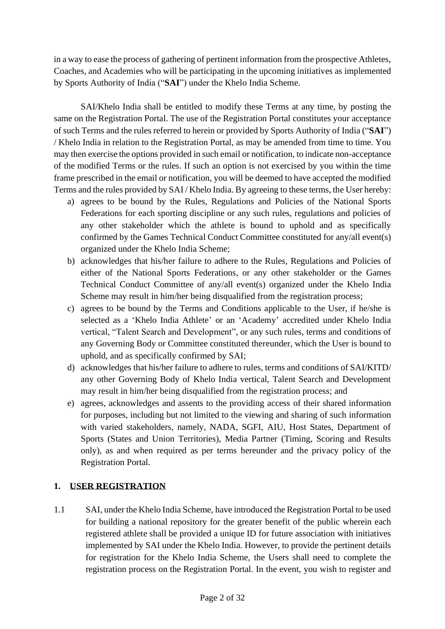in a way to ease the process of gathering of pertinent information from the prospective Athletes, Coaches, and Academies who will be participating in the upcoming initiatives as implemented by Sports Authority of India ("**SAI**") under the Khelo India Scheme.

SAI/Khelo India shall be entitled to modify these Terms at any time, by posting the same on the Registration Portal. The use of the Registration Portal constitutes your acceptance of such Terms and the rules referred to herein or provided by Sports Authority of India ("**SAI**") / Khelo India in relation to the Registration Portal, as may be amended from time to time. You may then exercise the options provided in such email or notification, to indicate non-acceptance of the modified Terms or the rules. If such an option is not exercised by you within the time frame prescribed in the email or notification, you will be deemed to have accepted the modified Terms and the rules provided by SAI / Khelo India. By agreeing to these terms, the User hereby:

- a) agrees to be bound by the Rules, Regulations and Policies of the National Sports Federations for each sporting discipline or any such rules, regulations and policies of any other stakeholder which the athlete is bound to uphold and as specifically confirmed by the Games Technical Conduct Committee constituted for any/all event(s) organized under the Khelo India Scheme;
- b) acknowledges that his/her failure to adhere to the Rules, Regulations and Policies of either of the National Sports Federations, or any other stakeholder or the Games Technical Conduct Committee of any/all event(s) organized under the Khelo India Scheme may result in him/her being disqualified from the registration process;
- c) agrees to be bound by the Terms and Conditions applicable to the User, if he/she is selected as a 'Khelo India Athlete' or an 'Academy' accredited under Khelo India vertical, "Talent Search and Development", or any such rules, terms and conditions of any Governing Body or Committee constituted thereunder, which the User is bound to uphold, and as specifically confirmed by SAI;
- d) acknowledges that his/her failure to adhere to rules, terms and conditions of SAI/KITD/ any other Governing Body of Khelo India vertical, Talent Search and Development may result in him/her being disqualified from the registration process; and
- e) agrees, acknowledges and assents to the providing access of their shared information for purposes, including but not limited to the viewing and sharing of such information with varied stakeholders, namely, NADA, SGFI, AIU, Host States, Department of Sports (States and Union Territories), Media Partner (Timing, Scoring and Results only), as and when required as per terms hereunder and the privacy policy of the Registration Portal.

### **1. USER REGISTRATION**

1.1 SAI, under the Khelo India Scheme, have introduced the Registration Portal to be used for building a national repository for the greater benefit of the public wherein each registered athlete shall be provided a unique ID for future association with initiatives implemented by SAI under the Khelo India. However, to provide the pertinent details for registration for the Khelo India Scheme, the Users shall need to complete the registration process on the Registration Portal. In the event, you wish to register and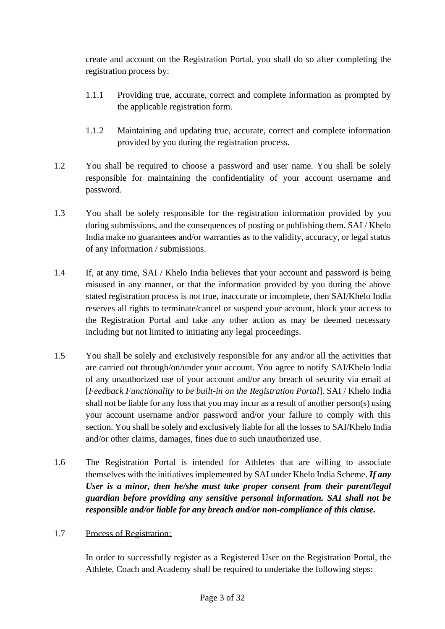create and account on the Registration Portal, you shall do so after completing the registration process by:

- 1.1.1 Providing true, accurate, correct and complete information as prompted by the applicable registration form.
- 1.1.2 Maintaining and updating true, accurate, correct and complete information provided by you during the registration process.
- 1.2 You shall be required to choose a password and user name. You shall be solely responsible for maintaining the confidentiality of your account username and password.
- 1.3 You shall be solely responsible for the registration information provided by you during submissions, and the consequences of posting or publishing them. SAI / Khelo India make no guarantees and/or warranties as to the validity, accuracy, or legal status of any information / submissions.
- 1.4 If, at any time, SAI / Khelo India believes that your account and password is being misused in any manner, or that the information provided by you during the above stated registration process is not true, inaccurate or incomplete, then SAI/Khelo India reserves all rights to terminate/cancel or suspend your account, block your access to the Registration Portal and take any other action as may be deemed necessary including but not limited to initiating any legal proceedings.
- 1.5 You shall be solely and exclusively responsible for any and/or all the activities that are carried out through/on/under your account. You agree to notify SAI/Khelo India of any unauthorized use of your account and/or any breach of security via email at [*Feedback Functionality to be built-in on the Registration Portal*]. SAI / Khelo India shall not be liable for any loss that you may incur as a result of another person(s) using your account username and/or password and/or your failure to comply with this section. You shall be solely and exclusively liable for all the losses to SAI/Khelo India and/or other claims, damages, fines due to such unauthorized use.
- 1.6 The Registration Portal is intended for Athletes that are willing to associate themselves with the initiatives implemented by SAI under Khelo India Scheme. *If any User is a minor, then he/she must take proper consent from their parent/legal guardian before providing any sensitive personal information. SAI shall not be responsible and/or liable for any breach and/or non-compliance of this clause.*
- 1.7 Process of Registration:

In order to successfully register as a Registered User on the Registration Portal, the Athlete, Coach and Academy shall be required to undertake the following steps: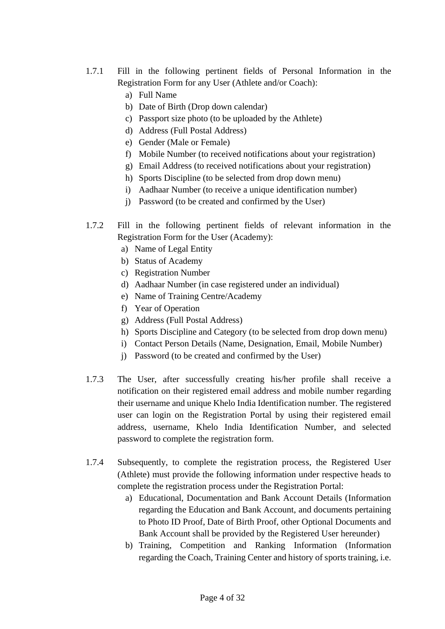- 1.7.1 Fill in the following pertinent fields of Personal Information in the Registration Form for any User (Athlete and/or Coach):
	- a) Full Name
	- b) Date of Birth (Drop down calendar)
	- c) Passport size photo (to be uploaded by the Athlete)
	- d) Address (Full Postal Address)
	- e) Gender (Male or Female)
	- f) Mobile Number (to received notifications about your registration)
	- g) Email Address (to received notifications about your registration)
	- h) Sports Discipline (to be selected from drop down menu)
	- i) Aadhaar Number (to receive a unique identification number)
	- j) Password (to be created and confirmed by the User)
- 1.7.2 Fill in the following pertinent fields of relevant information in the Registration Form for the User (Academy):
	- a) Name of Legal Entity
	- b) Status of Academy
	- c) Registration Number
	- d) Aadhaar Number (in case registered under an individual)
	- e) Name of Training Centre/Academy
	- f) Year of Operation
	- g) Address (Full Postal Address)
	- h) Sports Discipline and Category (to be selected from drop down menu)
	- i) Contact Person Details (Name, Designation, Email, Mobile Number)
	- j) Password (to be created and confirmed by the User)
- 1.7.3 The User, after successfully creating his/her profile shall receive a notification on their registered email address and mobile number regarding their username and unique Khelo India Identification number. The registered user can login on the Registration Portal by using their registered email address, username, Khelo India Identification Number, and selected password to complete the registration form.
- 1.7.4 Subsequently, to complete the registration process, the Registered User (Athlete) must provide the following information under respective heads to complete the registration process under the Registration Portal:
	- a) Educational, Documentation and Bank Account Details (Information regarding the Education and Bank Account, and documents pertaining to Photo ID Proof, Date of Birth Proof, other Optional Documents and Bank Account shall be provided by the Registered User hereunder)
	- b) Training, Competition and Ranking Information (Information regarding the Coach, Training Center and history of sports training, i.e.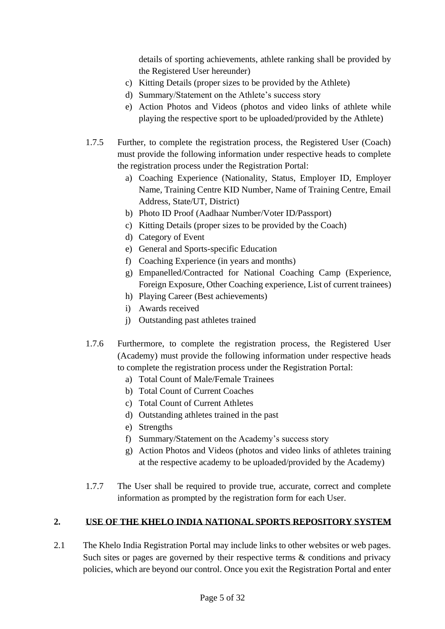details of sporting achievements, athlete ranking shall be provided by the Registered User hereunder)

- c) Kitting Details (proper sizes to be provided by the Athlete)
- d) Summary/Statement on the Athlete's success story
- e) Action Photos and Videos (photos and video links of athlete while playing the respective sport to be uploaded/provided by the Athlete)
- 1.7.5 Further, to complete the registration process, the Registered User (Coach) must provide the following information under respective heads to complete the registration process under the Registration Portal:
	- a) Coaching Experience (Nationality, Status, Employer ID, Employer Name, Training Centre KID Number, Name of Training Centre, Email Address, State/UT, District)
	- b) Photo ID Proof (Aadhaar Number/Voter ID/Passport)
	- c) Kitting Details (proper sizes to be provided by the Coach)
	- d) Category of Event
	- e) General and Sports-specific Education
	- f) Coaching Experience (in years and months)
	- g) Empanelled/Contracted for National Coaching Camp (Experience, Foreign Exposure, Other Coaching experience, List of current trainees)
	- h) Playing Career (Best achievements)
	- i) Awards received
	- j) Outstanding past athletes trained
- 1.7.6 Furthermore, to complete the registration process, the Registered User (Academy) must provide the following information under respective heads to complete the registration process under the Registration Portal:
	- a) Total Count of Male/Female Trainees
	- b) Total Count of Current Coaches
	- c) Total Count of Current Athletes
	- d) Outstanding athletes trained in the past
	- e) Strengths
	- f) Summary/Statement on the Academy's success story
	- g) Action Photos and Videos (photos and video links of athletes training at the respective academy to be uploaded/provided by the Academy)
- 1.7.7 The User shall be required to provide true, accurate, correct and complete information as prompted by the registration form for each User.

## **2. USE OF THE KHELO INDIA NATIONAL SPORTS REPOSITORY SYSTEM**

2.1 The Khelo India Registration Portal may include links to other websites or web pages. Such sites or pages are governed by their respective terms  $\&$  conditions and privacy policies, which are beyond our control. Once you exit the Registration Portal and enter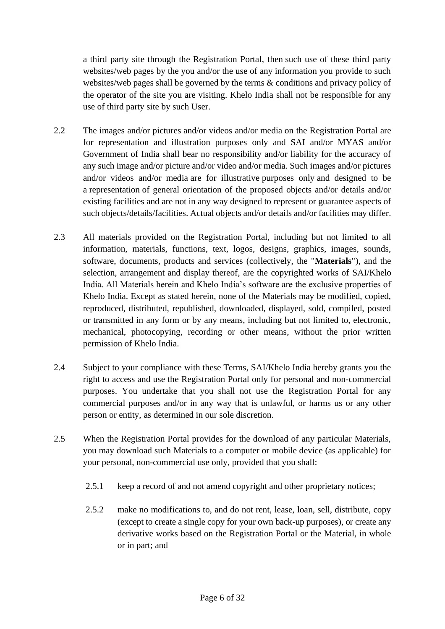a third party site through the Registration Portal, then such use of these third party websites/web pages by the you and/or the use of any information you provide to such websites/web pages shall be governed by the terms & conditions and privacy policy of the operator of the site you are visiting. Khelo India shall not be responsible for any use of third party site by such User.

- 2.2 The images and/or pictures and/or videos and/or media on the Registration Portal are for representation and illustration purposes only and SAI and/or MYAS and/or Government of India shall bear no responsibility and/or liability for the accuracy of any such image and/or picture and/or video and/or media. Such images and/or pictures and/or videos and/or media are for illustrative purposes only and designed to be a representation of general orientation of the proposed objects and/or details and/or existing facilities and are not in any way designed to represent or guarantee aspects of such objects/details/facilities. Actual objects and/or details and/or facilities may differ.
- 2.3 All materials provided on the Registration Portal, including but not limited to all information, materials, functions, text, logos, designs, graphics, images, sounds, software, documents, products and services (collectively, the "**Materials**"), and the selection, arrangement and display thereof, are the copyrighted works of SAI/Khelo India. All Materials herein and Khelo India's software are the exclusive properties of Khelo India. Except as stated herein, none of the Materials may be modified, copied, reproduced, distributed, republished, downloaded, displayed, sold, compiled, posted or transmitted in any form or by any means, including but not limited to, electronic, mechanical, photocopying, recording or other means, without the prior written permission of Khelo India.
- 2.4 Subject to your compliance with these Terms, SAI/Khelo India hereby grants you the right to access and use the Registration Portal only for personal and non-commercial purposes. You undertake that you shall not use the Registration Portal for any commercial purposes and/or in any way that is unlawful, or harms us or any other person or entity, as determined in our sole discretion.
- 2.5 When the Registration Portal provides for the download of any particular Materials, you may download such Materials to a computer or mobile device (as applicable) for your personal, non-commercial use only, provided that you shall:
	- 2.5.1 keep a record of and not amend copyright and other proprietary notices;
	- 2.5.2 make no modifications to, and do not rent, lease, loan, sell, distribute, copy (except to create a single copy for your own back-up purposes), or create any derivative works based on the Registration Portal or the Material, in whole or in part; and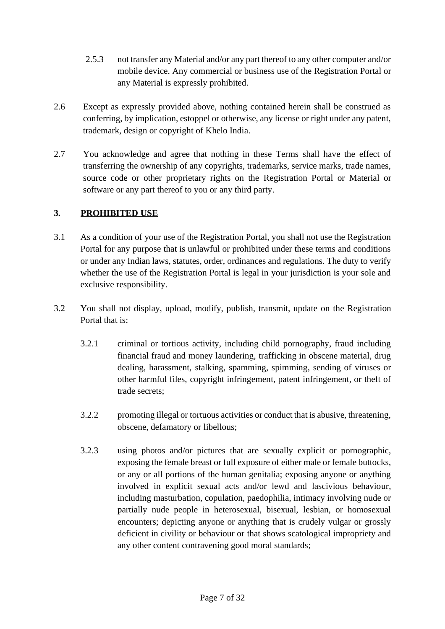- 2.5.3 not transfer any Material and/or any part thereof to any other computer and/or mobile device. Any commercial or business use of the Registration Portal or any Material is expressly prohibited.
- 2.6 Except as expressly provided above, nothing contained herein shall be construed as conferring, by implication, estoppel or otherwise, any license or right under any patent, trademark, design or copyright of Khelo India.
- 2.7 You acknowledge and agree that nothing in these Terms shall have the effect of transferring the ownership of any copyrights, trademarks, service marks, trade names, source code or other proprietary rights on the Registration Portal or Material or software or any part thereof to you or any third party.

## **3. PROHIBITED USE**

- 3.1 As a condition of your use of the Registration Portal, you shall not use the Registration Portal for any purpose that is unlawful or prohibited under these terms and conditions or under any Indian laws, statutes, order, ordinances and regulations. The duty to verify whether the use of the Registration Portal is legal in your jurisdiction is your sole and exclusive responsibility.
- 3.2 You shall not display, upload, modify, publish, transmit, update on the Registration Portal that is:
	- 3.2.1 criminal or tortious activity, including child pornography, fraud including financial fraud and money laundering, trafficking in obscene material, drug dealing, harassment, stalking, spamming, spimming, sending of viruses or other harmful files, copyright infringement, patent infringement, or theft of trade secrets;
	- 3.2.2 promoting illegal or tortuous activities or conduct that is abusive, threatening, obscene, defamatory or libellous;
	- 3.2.3 using photos and/or pictures that are sexually explicit or pornographic, exposing the female breast or full exposure of either male or female buttocks, or any or all portions of the human genitalia; exposing anyone or anything involved in explicit sexual acts and/or lewd and lascivious behaviour, including masturbation, copulation, paedophilia, intimacy involving nude or partially nude people in heterosexual, bisexual, lesbian, or homosexual encounters; depicting anyone or anything that is crudely vulgar or grossly deficient in civility or behaviour or that shows scatological impropriety and any other content contravening good moral standards;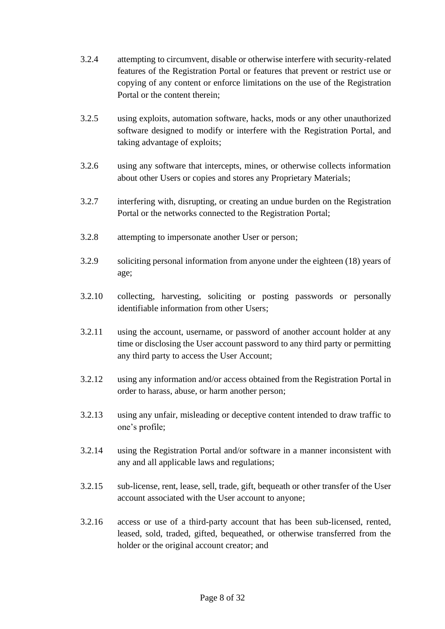- 3.2.4 attempting to circumvent, disable or otherwise interfere with security-related features of the Registration Portal or features that prevent or restrict use or copying of any content or enforce limitations on the use of the Registration Portal or the content therein;
- 3.2.5 using exploits, automation software, hacks, mods or any other unauthorized software designed to modify or interfere with the Registration Portal, and taking advantage of exploits;
- 3.2.6 using any software that intercepts, mines, or otherwise collects information about other Users or copies and stores any Proprietary Materials;
- 3.2.7 interfering with, disrupting, or creating an undue burden on the Registration Portal or the networks connected to the Registration Portal;
- 3.2.8 attempting to impersonate another User or person;
- 3.2.9 soliciting personal information from anyone under the eighteen (18) years of age;
- 3.2.10 collecting, harvesting, soliciting or posting passwords or personally identifiable information from other Users;
- 3.2.11 using the account, username, or password of another account holder at any time or disclosing the User account password to any third party or permitting any third party to access the User Account;
- 3.2.12 using any information and/or access obtained from the Registration Portal in order to harass, abuse, or harm another person;
- 3.2.13 using any unfair, misleading or deceptive content intended to draw traffic to one's profile;
- 3.2.14 using the Registration Portal and/or software in a manner inconsistent with any and all applicable laws and regulations;
- 3.2.15 sub-license, rent, lease, sell, trade, gift, bequeath or other transfer of the User account associated with the User account to anyone;
- 3.2.16 access or use of a third-party account that has been sub-licensed, rented, leased, sold, traded, gifted, bequeathed, or otherwise transferred from the holder or the original account creator; and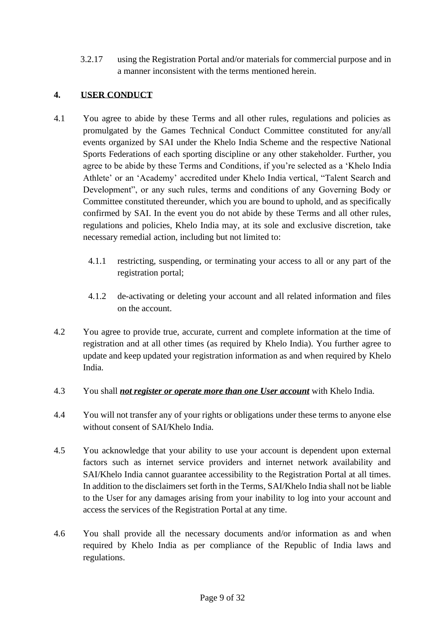3.2.17 using the Registration Portal and/or materials for commercial purpose and in a manner inconsistent with the terms mentioned herein.

## **4. USER CONDUCT**

- 4.1 You agree to abide by these Terms and all other rules, regulations and policies as promulgated by the Games Technical Conduct Committee constituted for any/all events organized by SAI under the Khelo India Scheme and the respective National Sports Federations of each sporting discipline or any other stakeholder. Further, you agree to be abide by these Terms and Conditions, if you're selected as a 'Khelo India Athlete' or an 'Academy' accredited under Khelo India vertical, "Talent Search and Development", or any such rules, terms and conditions of any Governing Body or Committee constituted thereunder, which you are bound to uphold, and as specifically confirmed by SAI. In the event you do not abide by these Terms and all other rules, regulations and policies, Khelo India may, at its sole and exclusive discretion, take necessary remedial action, including but not limited to:
	- 4.1.1 restricting, suspending, or terminating your access to all or any part of the registration portal;
	- 4.1.2 de-activating or deleting your account and all related information and files on the account.
- 4.2 You agree to provide true, accurate, current and complete information at the time of registration and at all other times (as required by Khelo India). You further agree to update and keep updated your registration information as and when required by Khelo India.
- 4.3 You shall *not register or operate more than one User account* with Khelo India.
- 4.4 You will not transfer any of your rights or obligations under these terms to anyone else without consent of SAI/Khelo India.
- 4.5 You acknowledge that your ability to use your account is dependent upon external factors such as internet service providers and internet network availability and SAI/Khelo India cannot guarantee accessibility to the Registration Portal at all times. In addition to the disclaimers set forth in the Terms, SAI/Khelo India shall not be liable to the User for any damages arising from your inability to log into your account and access the services of the Registration Portal at any time.
- 4.6 You shall provide all the necessary documents and/or information as and when required by Khelo India as per compliance of the Republic of India laws and regulations.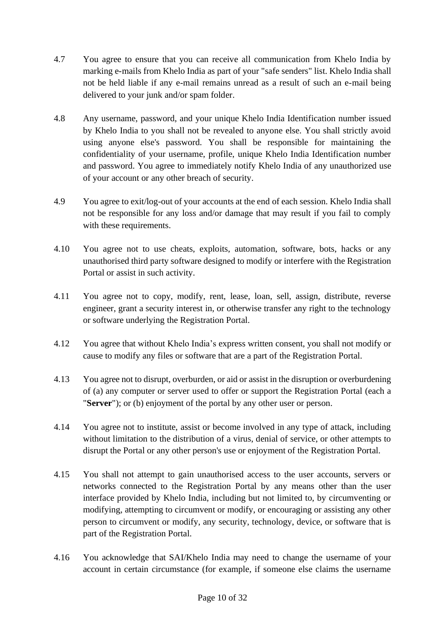- 4.7 You agree to ensure that you can receive all communication from Khelo India by marking e-mails from Khelo India as part of your "safe senders" list. Khelo India shall not be held liable if any e-mail remains unread as a result of such an e-mail being delivered to your junk and/or spam folder.
- 4.8 Any username, password, and your unique Khelo India Identification number issued by Khelo India to you shall not be revealed to anyone else. You shall strictly avoid using anyone else's password. You shall be responsible for maintaining the confidentiality of your username, profile, unique Khelo India Identification number and password. You agree to immediately notify Khelo India of any unauthorized use of your account or any other breach of security.
- 4.9 You agree to exit/log-out of your accounts at the end of each session. Khelo India shall not be responsible for any loss and/or damage that may result if you fail to comply with these requirements.
- 4.10 You agree not to use cheats, exploits, automation, software, bots, hacks or any unauthorised third party software designed to modify or interfere with the Registration Portal or assist in such activity.
- 4.11 You agree not to copy, modify, rent, lease, loan, sell, assign, distribute, reverse engineer, grant a security interest in, or otherwise transfer any right to the technology or software underlying the Registration Portal.
- 4.12 You agree that without Khelo India's express written consent, you shall not modify or cause to modify any files or software that are a part of the Registration Portal.
- 4.13 You agree not to disrupt, overburden, or aid or assist in the disruption or overburdening of (a) any computer or server used to offer or support the Registration Portal (each a "**Server**"); or (b) enjoyment of the portal by any other user or person.
- 4.14 You agree not to institute, assist or become involved in any type of attack, including without limitation to the distribution of a virus, denial of service, or other attempts to disrupt the Portal or any other person's use or enjoyment of the Registration Portal.
- 4.15 You shall not attempt to gain unauthorised access to the user accounts, servers or networks connected to the Registration Portal by any means other than the user interface provided by Khelo India, including but not limited to, by circumventing or modifying, attempting to circumvent or modify, or encouraging or assisting any other person to circumvent or modify, any security, technology, device, or software that is part of the Registration Portal.
- 4.16 You acknowledge that SAI/Khelo India may need to change the username of your account in certain circumstance (for example, if someone else claims the username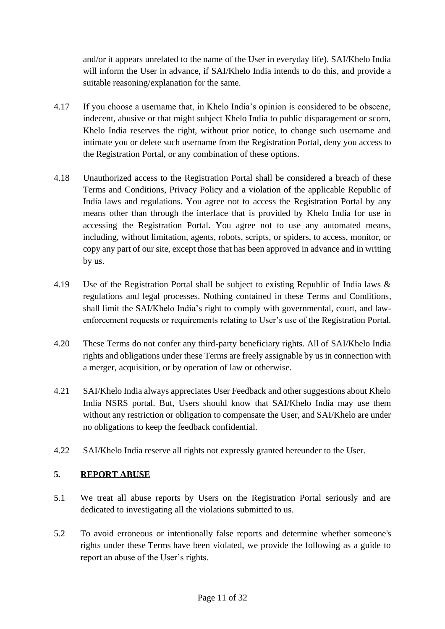and/or it appears unrelated to the name of the User in everyday life). SAI/Khelo India will inform the User in advance, if SAI/Khelo India intends to do this, and provide a suitable reasoning/explanation for the same.

- 4.17 If you choose a username that, in Khelo India's opinion is considered to be obscene, indecent, abusive or that might subject Khelo India to public disparagement or scorn, Khelo India reserves the right, without prior notice, to change such username and intimate you or delete such username from the Registration Portal, deny you access to the Registration Portal, or any combination of these options.
- 4.18 Unauthorized access to the Registration Portal shall be considered a breach of these Terms and Conditions, Privacy Policy and a violation of the applicable Republic of India laws and regulations. You agree not to access the Registration Portal by any means other than through the interface that is provided by Khelo India for use in accessing the Registration Portal. You agree not to use any automated means, including, without limitation, agents, robots, scripts, or spiders, to access, monitor, or copy any part of our site, except those that has been approved in advance and in writing by us.
- 4.19 Use of the Registration Portal shall be subject to existing Republic of India laws & regulations and legal processes. Nothing contained in these Terms and Conditions, shall limit the SAI/Khelo India's right to comply with governmental, court, and lawenforcement requests or requirements relating to User's use of the Registration Portal.
- 4.20 These Terms do not confer any third-party beneficiary rights. All of SAI/Khelo India rights and obligations under these Terms are freely assignable by us in connection with a merger, acquisition, or by operation of law or otherwise.
- 4.21 SAI/Khelo India always appreciates User Feedback and other suggestions about Khelo India NSRS portal. But, Users should know that SAI/Khelo India may use them without any restriction or obligation to compensate the User, and SAI/Khelo are under no obligations to keep the feedback confidential.
- 4.22 SAI/Khelo India reserve all rights not expressly granted hereunder to the User.

## **5. REPORT ABUSE**

- 5.1 We treat all abuse reports by Users on the Registration Portal seriously and are dedicated to investigating all the violations submitted to us.
- 5.2 To avoid erroneous or intentionally false reports and determine whether someone's rights under these Terms have been violated, we provide the following as a guide to report an abuse of the User's rights.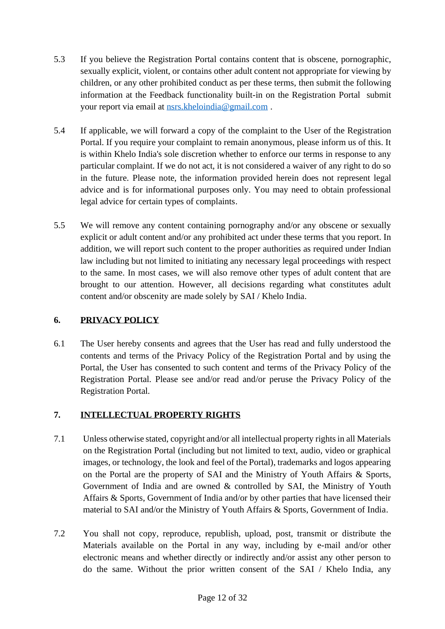- 5.3 If you believe the Registration Portal contains content that is obscene, pornographic, sexually explicit, violent, or contains other adult content not appropriate for viewing by children, or any other prohibited conduct as per these terms, then submit the following information at the Feedback functionality built-in on the Registration Portal submit your report via email at [nsrs.kheloindia@gmail.com](mailto:nsrs.kheloindia@gmail.com) .
- 5.4 If applicable, we will forward a copy of the complaint to the User of the Registration Portal. If you require your complaint to remain anonymous, please inform us of this. It is within Khelo India's sole discretion whether to enforce our terms in response to any particular complaint. If we do not act, it is not considered a waiver of any right to do so in the future. Please note, the information provided herein does not represent legal advice and is for informational purposes only. You may need to obtain professional legal advice for certain types of complaints.
- 5.5 We will remove any content containing pornography and/or any obscene or sexually explicit or adult content and/or any prohibited act under these terms that you report. In addition, we will report such content to the proper authorities as required under Indian law including but not limited to initiating any necessary legal proceedings with respect to the same. In most cases, we will also remove other types of adult content that are brought to our attention. However, all decisions regarding what constitutes adult content and/or obscenity are made solely by SAI / Khelo India.

## **6. PRIVACY POLICY**

6.1 The User hereby consents and agrees that the User has read and fully understood the contents and terms of the Privacy Policy of the Registration Portal and by using the Portal, the User has consented to such content and terms of the Privacy Policy of the Registration Portal. Please see and/or read and/or peruse the Privacy Policy of the Registration Portal.

## **7. INTELLECTUAL PROPERTY RIGHTS**

- 7.1 Unless otherwise stated, copyright and/or all intellectual property rights in all Materials on the Registration Portal (including but not limited to text, audio, video or graphical images, or technology, the look and feel of the Portal), trademarks and logos appearing on the Portal are the property of SAI and the Ministry of Youth Affairs & Sports, Government of India and are owned & controlled by SAI, the Ministry of Youth Affairs & Sports, Government of India and/or by other parties that have licensed their material to SAI and/or the Ministry of Youth Affairs & Sports, Government of India.
- 7.2 You shall not copy, reproduce, republish, upload, post, transmit or distribute the Materials available on the Portal in any way, including by e-mail and/or other electronic means and whether directly or indirectly and/or assist any other person to do the same. Without the prior written consent of the SAI / Khelo India, any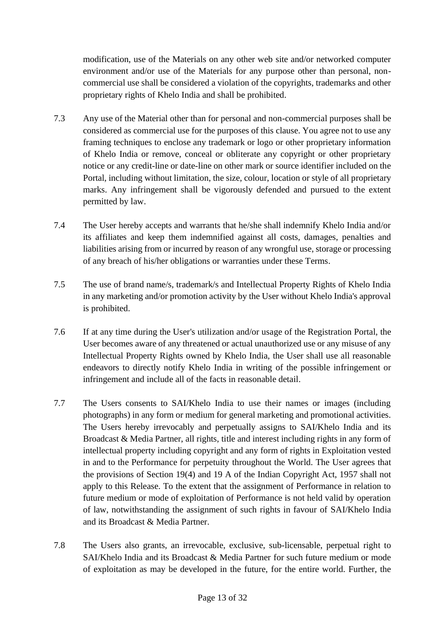modification, use of the Materials on any other web site and/or networked computer environment and/or use of the Materials for any purpose other than personal, noncommercial use shall be considered a violation of the copyrights, trademarks and other proprietary rights of Khelo India and shall be prohibited.

- 7.3 Any use of the Material other than for personal and non-commercial purposes shall be considered as commercial use for the purposes of this clause. You agree not to use any framing techniques to enclose any trademark or logo or other proprietary information of Khelo India or remove, conceal or obliterate any copyright or other proprietary notice or any credit-line or date-line on other mark or source identifier included on the Portal, including without limitation, the size, colour, location or style of all proprietary marks. Any infringement shall be vigorously defended and pursued to the extent permitted by law.
- 7.4 The User hereby accepts and warrants that he/she shall indemnify Khelo India and/or its affiliates and keep them indemnified against all costs, damages, penalties and liabilities arising from or incurred by reason of any wrongful use, storage or processing of any breach of his/her obligations or warranties under these Terms.
- 7.5 The use of brand name/s, trademark/s and Intellectual Property Rights of Khelo India in any marketing and/or promotion activity by the User without Khelo India's approval is prohibited.
- 7.6 If at any time during the User's utilization and/or usage of the Registration Portal, the User becomes aware of any threatened or actual unauthorized use or any misuse of any Intellectual Property Rights owned by Khelo India, the User shall use all reasonable endeavors to directly notify Khelo India in writing of the possible infringement or infringement and include all of the facts in reasonable detail.
- 7.7 The Users consents to SAI/Khelo India to use their names or images (including photographs) in any form or medium for general marketing and promotional activities. The Users hereby irrevocably and perpetually assigns to SAI/Khelo India and its Broadcast & Media Partner, all rights, title and interest including rights in any form of intellectual property including copyright and any form of rights in Exploitation vested in and to the Performance for perpetuity throughout the World. The User agrees that the provisions of Section 19(4) and 19 A of the Indian Copyright Act, 1957 shall not apply to this Release. To the extent that the assignment of Performance in relation to future medium or mode of exploitation of Performance is not held valid by operation of law, notwithstanding the assignment of such rights in favour of SAI/Khelo India and its Broadcast & Media Partner.
- 7.8 The Users also grants, an irrevocable, exclusive, sub-licensable, perpetual right to SAI/Khelo India and its Broadcast & Media Partner for such future medium or mode of exploitation as may be developed in the future, for the entire world. Further, the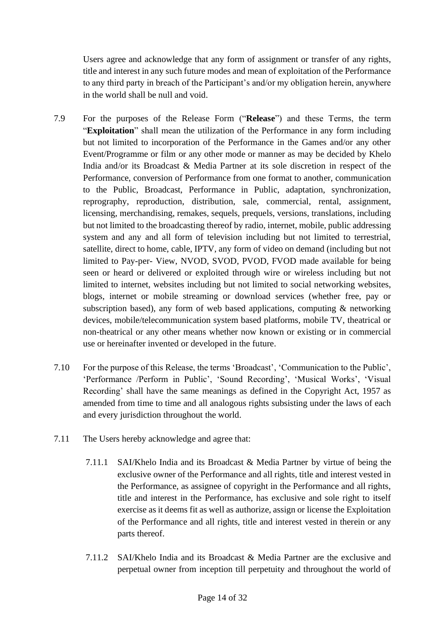Users agree and acknowledge that any form of assignment or transfer of any rights, title and interest in any such future modes and mean of exploitation of the Performance to any third party in breach of the Participant's and/or my obligation herein, anywhere in the world shall be null and void.

- 7.9 For the purposes of the Release Form ("**Release**") and these Terms, the term "**Exploitation**" shall mean the utilization of the Performance in any form including but not limited to incorporation of the Performance in the Games and/or any other Event/Programme or film or any other mode or manner as may be decided by Khelo India and/or its Broadcast & Media Partner at its sole discretion in respect of the Performance, conversion of Performance from one format to another, communication to the Public, Broadcast, Performance in Public, adaptation, synchronization, reprography, reproduction, distribution, sale, commercial, rental, assignment, licensing, merchandising, remakes, sequels, prequels, versions, translations, including but not limited to the broadcasting thereof by radio, internet, mobile, public addressing system and any and all form of television including but not limited to terrestrial, satellite, direct to home, cable, IPTV, any form of video on demand (including but not limited to Pay-per- View, NVOD, SVOD, PVOD, FVOD made available for being seen or heard or delivered or exploited through wire or wireless including but not limited to internet, websites including but not limited to social networking websites, blogs, internet or mobile streaming or download services (whether free, pay or subscription based), any form of web based applications, computing  $\&$  networking devices, mobile/telecommunication system based platforms, mobile TV, theatrical or non-theatrical or any other means whether now known or existing or in commercial use or hereinafter invented or developed in the future.
- 7.10 For the purpose of this Release, the terms 'Broadcast', 'Communication to the Public', 'Performance /Perform in Public', 'Sound Recording', 'Musical Works', 'Visual Recording' shall have the same meanings as defined in the Copyright Act, 1957 as amended from time to time and all analogous rights subsisting under the laws of each and every jurisdiction throughout the world.
- 7.11 The Users hereby acknowledge and agree that:
	- 7.11.1 SAI/Khelo India and its Broadcast & Media Partner by virtue of being the exclusive owner of the Performance and all rights, title and interest vested in the Performance, as assignee of copyright in the Performance and all rights, title and interest in the Performance, has exclusive and sole right to itself exercise as it deems fit as well as authorize, assign or license the Exploitation of the Performance and all rights, title and interest vested in therein or any parts thereof.
	- 7.11.2 SAI/Khelo India and its Broadcast & Media Partner are the exclusive and perpetual owner from inception till perpetuity and throughout the world of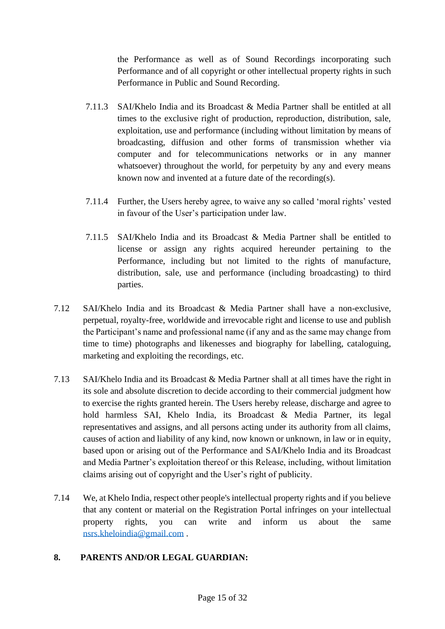the Performance as well as of Sound Recordings incorporating such Performance and of all copyright or other intellectual property rights in such Performance in Public and Sound Recording.

- 7.11.3 SAI/Khelo India and its Broadcast & Media Partner shall be entitled at all times to the exclusive right of production, reproduction, distribution, sale, exploitation, use and performance (including without limitation by means of broadcasting, diffusion and other forms of transmission whether via computer and for telecommunications networks or in any manner whatsoever) throughout the world, for perpetuity by any and every means known now and invented at a future date of the recording(s).
- 7.11.4 Further, the Users hereby agree, to waive any so called 'moral rights' vested in favour of the User's participation under law.
- 7.11.5 SAI/Khelo India and its Broadcast & Media Partner shall be entitled to license or assign any rights acquired hereunder pertaining to the Performance, including but not limited to the rights of manufacture, distribution, sale, use and performance (including broadcasting) to third parties.
- 7.12 SAI/Khelo India and its Broadcast & Media Partner shall have a non-exclusive, perpetual, royalty-free, worldwide and irrevocable right and license to use and publish the Participant's name and professional name (if any and as the same may change from time to time) photographs and likenesses and biography for labelling, cataloguing, marketing and exploiting the recordings, etc.
- 7.13 SAI/Khelo India and its Broadcast & Media Partner shall at all times have the right in its sole and absolute discretion to decide according to their commercial judgment how to exercise the rights granted herein. The Users hereby release, discharge and agree to hold harmless SAI, Khelo India, its Broadcast & Media Partner, its legal representatives and assigns, and all persons acting under its authority from all claims, causes of action and liability of any kind, now known or unknown, in law or in equity, based upon or arising out of the Performance and SAI/Khelo India and its Broadcast and Media Partner's exploitation thereof or this Release, including, without limitation claims arising out of copyright and the User's right of publicity.
- 7.14 We, at Khelo India, respect other people's intellectual property rights and if you believe that any content or material on the Registration Portal infringes on your intellectual property rights, you can write and inform us about the same [nsrs.kheloindia@gmail.com](mailto:nsrs.kheloindia@gmail.com) .

## **8. PARENTS AND/OR LEGAL GUARDIAN:**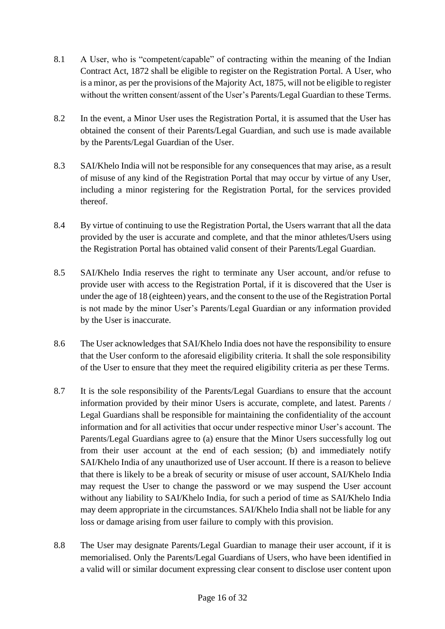- 8.1 A User, who is "competent/capable" of contracting within the meaning of the Indian Contract Act, 1872 shall be eligible to register on the Registration Portal. A User, who is a minor, as per the provisions of the Majority Act, 1875, will not be eligible to register without the written consent/assent of the User's Parents/Legal Guardian to these Terms.
- 8.2 In the event, a Minor User uses the Registration Portal, it is assumed that the User has obtained the consent of their Parents/Legal Guardian, and such use is made available by the Parents/Legal Guardian of the User.
- 8.3 SAI/Khelo India will not be responsible for any consequences that may arise, as a result of misuse of any kind of the Registration Portal that may occur by virtue of any User, including a minor registering for the Registration Portal, for the services provided thereof.
- 8.4 By virtue of continuing to use the Registration Portal, the Users warrant that all the data provided by the user is accurate and complete, and that the minor athletes/Users using the Registration Portal has obtained valid consent of their Parents/Legal Guardian.
- 8.5 SAI/Khelo India reserves the right to terminate any User account, and/or refuse to provide user with access to the Registration Portal, if it is discovered that the User is under the age of 18 (eighteen) years, and the consent to the use of the Registration Portal is not made by the minor User's Parents/Legal Guardian or any information provided by the User is inaccurate.
- 8.6 The User acknowledges that SAI/Khelo India does not have the responsibility to ensure that the User conform to the aforesaid eligibility criteria. It shall the sole responsibility of the User to ensure that they meet the required eligibility criteria as per these Terms.
- 8.7 It is the sole responsibility of the Parents/Legal Guardians to ensure that the account information provided by their minor Users is accurate, complete, and latest. Parents / Legal Guardians shall be responsible for maintaining the confidentiality of the account information and for all activities that occur under respective minor User's account. The Parents/Legal Guardians agree to (a) ensure that the Minor Users successfully log out from their user account at the end of each session; (b) and immediately notify SAI/Khelo India of any unauthorized use of User account. If there is a reason to believe that there is likely to be a break of security or misuse of user account, SAI/Khelo India may request the User to change the password or we may suspend the User account without any liability to SAI/Khelo India, for such a period of time as SAI/Khelo India may deem appropriate in the circumstances. SAI/Khelo India shall not be liable for any loss or damage arising from user failure to comply with this provision.
- 8.8 The User may designate Parents/Legal Guardian to manage their user account, if it is memorialised. Only the Parents/Legal Guardians of Users, who have been identified in a valid will or similar document expressing clear consent to disclose user content upon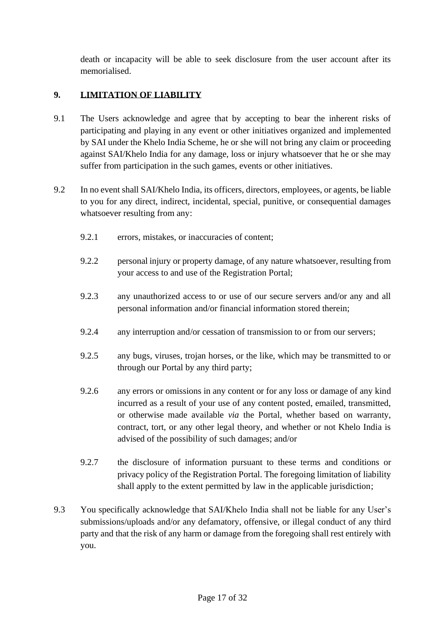death or incapacity will be able to seek disclosure from the user account after its memorialised.

# **9. LIMITATION OF LIABILITY**

- 9.1 The Users acknowledge and agree that by accepting to bear the inherent risks of participating and playing in any event or other initiatives organized and implemented by SAI under the Khelo India Scheme, he or she will not bring any claim or proceeding against SAI/Khelo India for any damage, loss or injury whatsoever that he or she may suffer from participation in the such games, events or other initiatives.
- 9.2 In no event shall SAI/Khelo India, its officers, directors, employees, or agents, be liable to you for any direct, indirect, incidental, special, punitive, or consequential damages whatsoever resulting from any:
	- 9.2.1 errors, mistakes, or inaccuracies of content;
	- 9.2.2 personal injury or property damage, of any nature whatsoever, resulting from your access to and use of the Registration Portal;
	- 9.2.3 any unauthorized access to or use of our secure servers and/or any and all personal information and/or financial information stored therein;
	- 9.2.4 any interruption and/or cessation of transmission to or from our servers;
	- 9.2.5 any bugs, viruses, trojan horses, or the like, which may be transmitted to or through our Portal by any third party;
	- 9.2.6 any errors or omissions in any content or for any loss or damage of any kind incurred as a result of your use of any content posted, emailed, transmitted, or otherwise made available *via* the Portal, whether based on warranty, contract, tort, or any other legal theory, and whether or not Khelo India is advised of the possibility of such damages; and/or
	- 9.2.7 the disclosure of information pursuant to these terms and conditions or privacy policy of the Registration Portal. The foregoing limitation of liability shall apply to the extent permitted by law in the applicable jurisdiction;
- 9.3 You specifically acknowledge that SAI/Khelo India shall not be liable for any User's submissions/uploads and/or any defamatory, offensive, or illegal conduct of any third party and that the risk of any harm or damage from the foregoing shall rest entirely with you.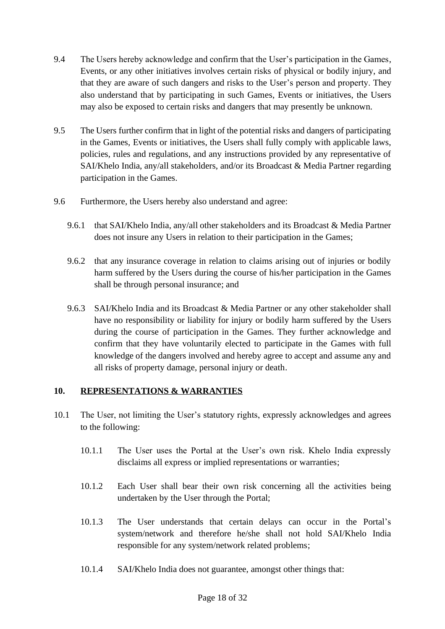- 9.4 The Users hereby acknowledge and confirm that the User's participation in the Games, Events, or any other initiatives involves certain risks of physical or bodily injury, and that they are aware of such dangers and risks to the User's person and property. They also understand that by participating in such Games, Events or initiatives, the Users may also be exposed to certain risks and dangers that may presently be unknown.
- 9.5 The Users further confirm that in light of the potential risks and dangers of participating in the Games, Events or initiatives, the Users shall fully comply with applicable laws, policies, rules and regulations, and any instructions provided by any representative of SAI/Khelo India, any/all stakeholders, and/or its Broadcast & Media Partner regarding participation in the Games.
- 9.6 Furthermore, the Users hereby also understand and agree:
	- 9.6.1 that SAI/Khelo India, any/all other stakeholders and its Broadcast & Media Partner does not insure any Users in relation to their participation in the Games;
	- 9.6.2 that any insurance coverage in relation to claims arising out of injuries or bodily harm suffered by the Users during the course of his/her participation in the Games shall be through personal insurance; and
	- 9.6.3 SAI/Khelo India and its Broadcast & Media Partner or any other stakeholder shall have no responsibility or liability for injury or bodily harm suffered by the Users during the course of participation in the Games. They further acknowledge and confirm that they have voluntarily elected to participate in the Games with full knowledge of the dangers involved and hereby agree to accept and assume any and all risks of property damage, personal injury or death.

### **10. REPRESENTATIONS & WARRANTIES**

- 10.1 The User, not limiting the User's statutory rights, expressly acknowledges and agrees to the following:
	- 10.1.1 The User uses the Portal at the User's own risk. Khelo India expressly disclaims all express or implied representations or warranties;
	- 10.1.2 Each User shall bear their own risk concerning all the activities being undertaken by the User through the Portal;
	- 10.1.3 The User understands that certain delays can occur in the Portal's system/network and therefore he/she shall not hold SAI/Khelo India responsible for any system/network related problems;
	- 10.1.4 SAI/Khelo India does not guarantee, amongst other things that: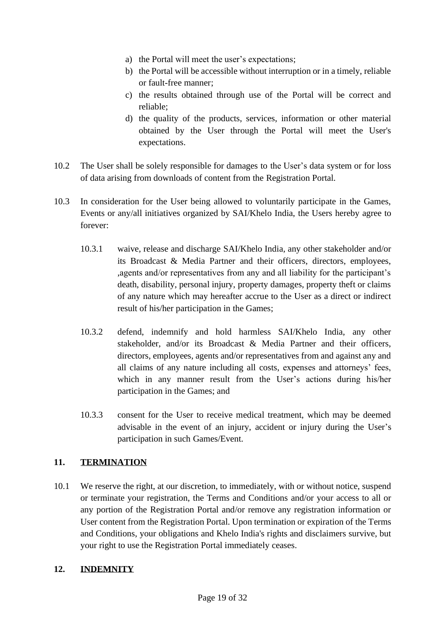- a) the Portal will meet the user's expectations;
- b) the Portal will be accessible without interruption or in a timely, reliable or fault-free manner;
- c) the results obtained through use of the Portal will be correct and reliable;
- d) the quality of the products, services, information or other material obtained by the User through the Portal will meet the User's expectations.
- 10.2 The User shall be solely responsible for damages to the User's data system or for loss of data arising from downloads of content from the Registration Portal.
- 10.3 In consideration for the User being allowed to voluntarily participate in the Games, Events or any/all initiatives organized by SAI/Khelo India, the Users hereby agree to forever:
	- 10.3.1 waive, release and discharge SAI/Khelo India, any other stakeholder and/or its Broadcast & Media Partner and their officers, directors, employees, ,agents and/or representatives from any and all liability for the participant's death, disability, personal injury, property damages, property theft or claims of any nature which may hereafter accrue to the User as a direct or indirect result of his/her participation in the Games;
	- 10.3.2 defend, indemnify and hold harmless SAI/Khelo India, any other stakeholder, and/or its Broadcast & Media Partner and their officers, directors, employees, agents and/or representatives from and against any and all claims of any nature including all costs, expenses and attorneys' fees, which in any manner result from the User's actions during his/her participation in the Games; and
	- 10.3.3 consent for the User to receive medical treatment, which may be deemed advisable in the event of an injury, accident or injury during the User's participation in such Games/Event.

## **11. TERMINATION**

10.1 We reserve the right, at our discretion, to immediately, with or without notice, suspend or terminate your registration, the Terms and Conditions and/or your access to all or any portion of the Registration Portal and/or remove any registration information or User content from the Registration Portal. Upon termination or expiration of the Terms and Conditions, your obligations and Khelo India's rights and disclaimers survive, but your right to use the Registration Portal immediately ceases.

### **12. INDEMNITY**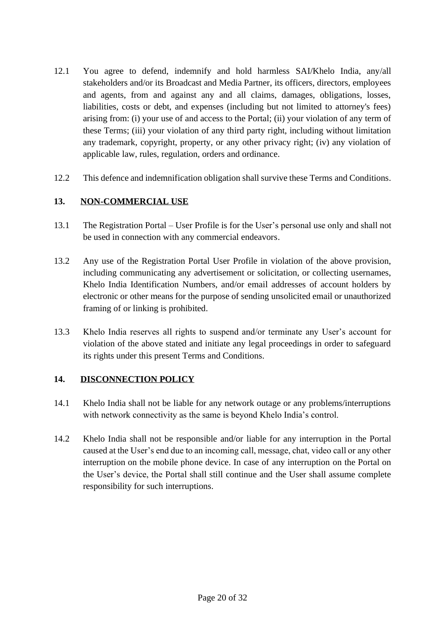- 12.1 You agree to defend, indemnify and hold harmless SAI/Khelo India, any/all stakeholders and/or its Broadcast and Media Partner, its officers, directors, employees and agents, from and against any and all claims, damages, obligations, losses, liabilities, costs or debt, and expenses (including but not limited to attorney's fees) arising from: (i) your use of and access to the Portal; (ii) your violation of any term of these Terms; (iii) your violation of any third party right, including without limitation any trademark, copyright, property, or any other privacy right; (iv) any violation of applicable law, rules, regulation, orders and ordinance.
- 12.2 This defence and indemnification obligation shall survive these Terms and Conditions.

### **13. NON-COMMERCIAL USE**

- 13.1 The Registration Portal User Profile is for the User's personal use only and shall not be used in connection with any commercial endeavors.
- 13.2 Any use of the Registration Portal User Profile in violation of the above provision, including communicating any advertisement or solicitation, or collecting usernames, Khelo India Identification Numbers, and/or email addresses of account holders by electronic or other means for the purpose of sending unsolicited email or unauthorized framing of or linking is prohibited.
- 13.3 Khelo India reserves all rights to suspend and/or terminate any User's account for violation of the above stated and initiate any legal proceedings in order to safeguard its rights under this present Terms and Conditions.

### **14. DISCONNECTION POLICY**

- 14.1 Khelo India shall not be liable for any network outage or any problems/interruptions with network connectivity as the same is beyond Khelo India's control.
- 14.2 Khelo India shall not be responsible and/or liable for any interruption in the Portal caused at the User's end due to an incoming call, message, chat, video call or any other interruption on the mobile phone device. In case of any interruption on the Portal on the User's device, the Portal shall still continue and the User shall assume complete responsibility for such interruptions.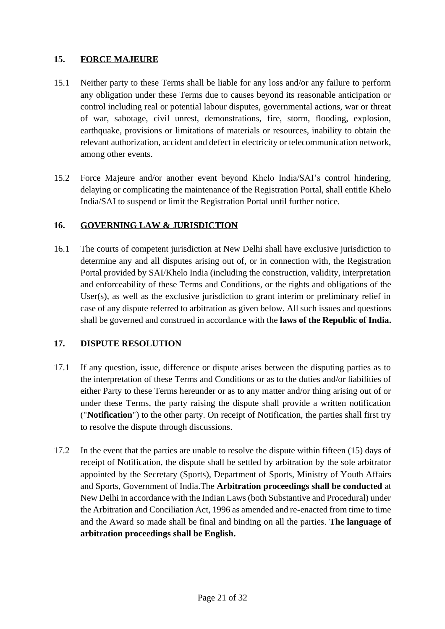### **15. FORCE MAJEURE**

- 15.1 Neither party to these Terms shall be liable for any loss and/or any failure to perform any obligation under these Terms due to causes beyond its reasonable anticipation or control including real or potential labour disputes, governmental actions, war or threat of war, sabotage, civil unrest, demonstrations, fire, storm, flooding, explosion, earthquake, provisions or limitations of materials or resources, inability to obtain the relevant authorization, accident and defect in electricity or telecommunication network, among other events.
- 15.2 Force Majeure and/or another event beyond Khelo India/SAI's control hindering, delaying or complicating the maintenance of the Registration Portal, shall entitle Khelo India/SAI to suspend or limit the Registration Portal until further notice.

### **16. GOVERNING LAW & JURISDICTION**

16.1 The courts of competent jurisdiction at New Delhi shall have exclusive jurisdiction to determine any and all disputes arising out of, or in connection with, the Registration Portal provided by SAI/Khelo India (including the construction, validity, interpretation and enforceability of these Terms and Conditions, or the rights and obligations of the User(s), as well as the exclusive jurisdiction to grant interim or preliminary relief in case of any dispute referred to arbitration as given below. All such issues and questions shall be governed and construed in accordance with the **laws of the Republic of India.**

### **17. DISPUTE RESOLUTION**

- 17.1 If any question, issue, difference or dispute arises between the disputing parties as to the interpretation of these Terms and Conditions or as to the duties and/or liabilities of either Party to these Terms hereunder or as to any matter and/or thing arising out of or under these Terms, the party raising the dispute shall provide a written notification ("**Notification**") to the other party. On receipt of Notification, the parties shall first try to resolve the dispute through discussions.
- 17.2 In the event that the parties are unable to resolve the dispute within fifteen (15) days of receipt of Notification, the dispute shall be settled by arbitration by the sole arbitrator appointed by the Secretary (Sports), Department of Sports, Ministry of Youth Affairs and Sports, Government of India.The **Arbitration proceedings shall be conducted** at New Delhi in accordance with the Indian Laws (both Substantive and Procedural) under the Arbitration and Conciliation Act, 1996 as amended and re-enacted from time to time and the Award so made shall be final and binding on all the parties. **The language of arbitration proceedings shall be English.**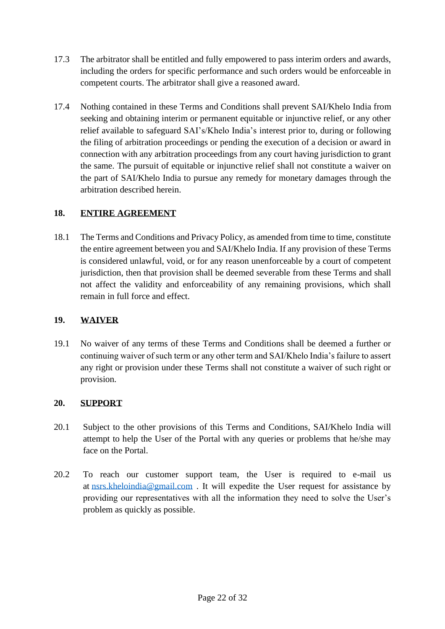- 17.3 The arbitrator shall be entitled and fully empowered to pass interim orders and awards, including the orders for specific performance and such orders would be enforceable in competent courts. The arbitrator shall give a reasoned award.
- 17.4 Nothing contained in these Terms and Conditions shall prevent SAI/Khelo India from seeking and obtaining interim or permanent equitable or injunctive relief, or any other relief available to safeguard SAI's/Khelo India's interest prior to, during or following the filing of arbitration proceedings or pending the execution of a decision or award in connection with any arbitration proceedings from any court having jurisdiction to grant the same. The pursuit of equitable or injunctive relief shall not constitute a waiver on the part of SAI/Khelo India to pursue any remedy for monetary damages through the arbitration described herein.

### **18. ENTIRE AGREEMENT**

18.1 The Terms and Conditions and Privacy Policy, as amended from time to time, constitute the entire agreement between you and SAI/Khelo India. If any provision of these Terms is considered unlawful, void, or for any reason unenforceable by a court of competent jurisdiction, then that provision shall be deemed severable from these Terms and shall not affect the validity and enforceability of any remaining provisions, which shall remain in full force and effect.

### **19. WAIVER**

19.1 No waiver of any terms of these Terms and Conditions shall be deemed a further or continuing waiver of such term or any other term and SAI/Khelo India's failure to assert any right or provision under these Terms shall not constitute a waiver of such right or provision.

### **20. SUPPORT**

- 20.1 Subject to the other provisions of this Terms and Conditions, SAI/Khelo India will attempt to help the User of the Portal with any queries or problems that he/she may face on the Portal.
- 20.2 To reach our customer support team, the User is required to e-mail us at [nsrs.kheloindia@gmail.com](mailto:nsrs.kheloindia@gmail.com) . It will expedite the User request for assistance by providing our representatives with all the information they need to solve the User's problem as quickly as possible.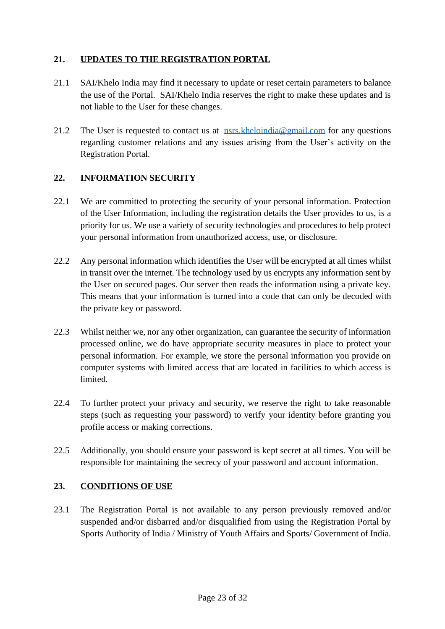## **21. UPDATES TO THE REGISTRATION PORTAL**

- 21.1 SAI/Khelo India may find it necessary to update or reset certain parameters to balance the use of the Portal. SAI/Khelo India reserves the right to make these updates and is not liable to the User for these changes.
- 21.2 The User is requested to contact us at  $nss.kheloindia@gmail.com$  for any questions regarding customer relations and any issues arising from the User's activity on the Registration Portal.

## **22. INFORMATION SECURITY**

- 22.1 We are committed to protecting the security of your personal information. Protection of the User Information, including the registration details the User provides to us, is a priority for us. We use a variety of security technologies and procedures to help protect your personal information from unauthorized access, use, or disclosure.
- 22.2 Any personal information which identifies the User will be encrypted at all times whilst in transit over the internet. The technology used by us encrypts any information sent by the User on secured pages. Our server then reads the information using a private key. This means that your information is turned into a code that can only be decoded with the private key or password.
- 22.3 Whilst neither we, nor any other organization, can guarantee the security of information processed online, we do have appropriate security measures in place to protect your personal information. For example, we store the personal information you provide on computer systems with limited access that are located in facilities to which access is limited.
- 22.4 To further protect your privacy and security, we reserve the right to take reasonable steps (such as requesting your password) to verify your identity before granting you profile access or making corrections.
- 22.5 Additionally, you should ensure your password is kept secret at all times. You will be responsible for maintaining the secrecy of your password and account information.

## **23. CONDITIONS OF USE**

23.1 The Registration Portal is not available to any person previously removed and/or suspended and/or disbarred and/or disqualified from using the Registration Portal by Sports Authority of India / Ministry of Youth Affairs and Sports/ Government of India.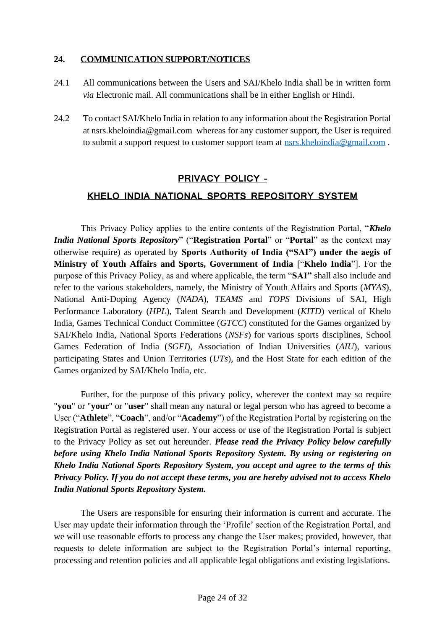### **24. COMMUNICATION SUPPORT/NOTICES**

- 24.1 All communications between the Users and SAI/Khelo India shall be in written form *via* Electronic mail. All communications shall be in either English or Hindi.
- 24.2 To contact SAI/Khelo India in relation to any information about the Registration Portal at nsrs.kheloindia@gmail.com whereas for any customer support, the User is required to submit a support request to customer support team at [nsrs.kheloindia@gmail.com](mailto:nsrs.kheloindia@gmail.com).

### **PRIVACY POLICY –**

### **KHELO INDIA NATIONAL SPORTS REPOSITORY SYSTEM**

This Privacy Policy applies to the entire contents of the Registration Portal, "*Khelo India National Sports Repository*" ("**Registration Portal**" or "**Portal**" as the context may otherwise require) as operated by **Sports Authority of India ("SAI") under the aegis of Ministry of Youth Affairs and Sports, Government of India** ["**Khelo India**"]. For the purpose of this Privacy Policy, as and where applicable, the term "**SAI"** shall also include and refer to the various stakeholders, namely, the Ministry of Youth Affairs and Sports (*MYAS*), National Anti-Doping Agency (*NADA*), *TEAMS* and *TOPS* Divisions of SAI, High Performance Laboratory (*HPL*), Talent Search and Development (*KITD*) vertical of Khelo India, Games Technical Conduct Committee (*GTCC*) constituted for the Games organized by SAI/Khelo India, National Sports Federations (*NSFs*) for various sports disciplines, School Games Federation of India (*SGFI*), Association of Indian Universities (*AIU*), various participating States and Union Territories (*UTs*), and the Host State for each edition of the Games organized by SAI/Khelo India, etc.

Further, for the purpose of this privacy policy, wherever the context may so require "**you**" or "**your**" or "**user**" shall mean any natural or legal person who has agreed to become a User ("**Athlete**", "**Coach**", and/or "**Academy**") of the Registration Portal by registering on the Registration Portal as registered user. Your access or use of the Registration Portal is subject to the Privacy Policy as set out hereunder. *Please read the Privacy Policy below carefully before using Khelo India National Sports Repository System. By using or registering on Khelo India National Sports Repository System, you accept and agree to the terms of this Privacy Policy. If you do not accept these terms, you are hereby advised not to access Khelo India National Sports Repository System.*

The Users are responsible for ensuring their information is current and accurate. The User may update their information through the 'Profile' section of the Registration Portal, and we will use reasonable efforts to process any change the User makes; provided, however, that requests to delete information are subject to the Registration Portal's internal reporting, processing and retention policies and all applicable legal obligations and existing legislations.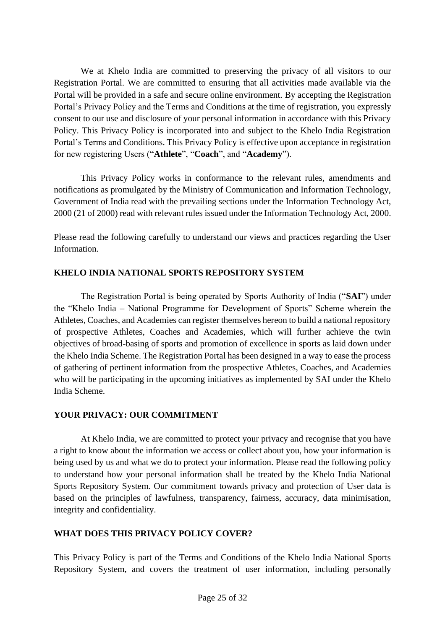We at Khelo India are committed to preserving the privacy of all visitors to our Registration Portal. We are committed to ensuring that all activities made available via the Portal will be provided in a safe and secure online environment. By accepting the Registration Portal's Privacy Policy and the Terms and Conditions at the time of registration, you expressly consent to our use and disclosure of your personal information in accordance with this Privacy Policy. This Privacy Policy is incorporated into and subject to the Khelo India Registration Portal's Terms and Conditions. This Privacy Policy is effective upon acceptance in registration for new registering Users ("**Athlete**", "**Coach**", and "**Academy**").

This Privacy Policy works in conformance to the relevant rules, amendments and notifications as promulgated by the Ministry of Communication and Information Technology, Government of India read with the prevailing sections under the Information Technology Act, 2000 (21 of 2000) read with relevant rules issued under the Information Technology Act, 2000.

Please read the following carefully to understand our views and practices regarding the User Information.

### **KHELO INDIA NATIONAL SPORTS REPOSITORY SYSTEM**

The Registration Portal is being operated by Sports Authority of India ("**SAI**") under the "Khelo India – National Programme for Development of Sports" Scheme wherein the Athletes, Coaches, and Academies can register themselves hereon to build a national repository of prospective Athletes, Coaches and Academies, which will further achieve the twin objectives of broad-basing of sports and promotion of excellence in sports as laid down under the Khelo India Scheme. The Registration Portal has been designed in a way to ease the process of gathering of pertinent information from the prospective Athletes, Coaches, and Academies who will be participating in the upcoming initiatives as implemented by SAI under the Khelo India Scheme.

### **YOUR PRIVACY: OUR COMMITMENT**

At Khelo India, we are committed to protect your privacy and recognise that you have a right to know about the information we access or collect about you, how your information is being used by us and what we do to protect your information. Please read the following policy to understand how your personal information shall be treated by the Khelo India National Sports Repository System. Our commitment towards privacy and protection of User data is based on the principles of lawfulness, transparency, fairness, accuracy, data minimisation, integrity and confidentiality.

## **WHAT DOES THIS PRIVACY POLICY COVER?**

This Privacy Policy is part of the Terms and Conditions of the Khelo India National Sports Repository System, and covers the treatment of user information, including personally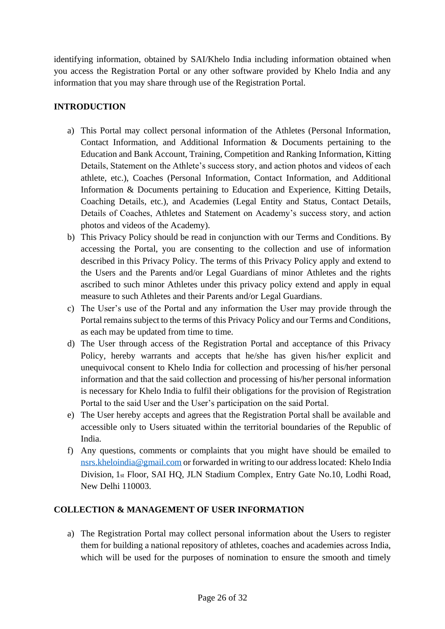identifying information, obtained by SAI/Khelo India including information obtained when you access the Registration Portal or any other software provided by Khelo India and any information that you may share through use of the Registration Portal.

# **INTRODUCTION**

- a) This Portal may collect personal information of the Athletes (Personal Information, Contact Information, and Additional Information & Documents pertaining to the Education and Bank Account, Training, Competition and Ranking Information, Kitting Details, Statement on the Athlete's success story, and action photos and videos of each athlete, etc.), Coaches (Personal Information, Contact Information, and Additional Information & Documents pertaining to Education and Experience, Kitting Details, Coaching Details, etc.), and Academies (Legal Entity and Status, Contact Details, Details of Coaches, Athletes and Statement on Academy's success story, and action photos and videos of the Academy).
- b) This Privacy Policy should be read in conjunction with our Terms and Conditions. By accessing the Portal, you are consenting to the collection and use of information described in this Privacy Policy. The terms of this Privacy Policy apply and extend to the Users and the Parents and/or Legal Guardians of minor Athletes and the rights ascribed to such minor Athletes under this privacy policy extend and apply in equal measure to such Athletes and their Parents and/or Legal Guardians.
- c) The User's use of the Portal and any information the User may provide through the Portal remains subject to the terms of this Privacy Policy and our Terms and Conditions, as each may be updated from time to time.
- d) The User through access of the Registration Portal and acceptance of this Privacy Policy, hereby warrants and accepts that he/she has given his/her explicit and unequivocal consent to Khelo India for collection and processing of his/her personal information and that the said collection and processing of his/her personal information is necessary for Khelo India to fulfil their obligations for the provision of Registration Portal to the said User and the User's participation on the said Portal.
- e) The User hereby accepts and agrees that the Registration Portal shall be available and accessible only to Users situated within the territorial boundaries of the Republic of India.
- f) Any questions, comments or complaints that you might have should be emailed to [nsrs.kheloindia@gmail.com](mailto:nsrs.kheloindia@gmail.com) or forwarded in writing to our address located: Khelo India Division, 1st Floor, SAI HQ, JLN Stadium Complex, Entry Gate No.10, Lodhi Road, New Delhi 110003.

## **COLLECTION & MANAGEMENT OF USER INFORMATION**

a) The Registration Portal may collect personal information about the Users to register them for building a national repository of athletes, coaches and academies across India, which will be used for the purposes of nomination to ensure the smooth and timely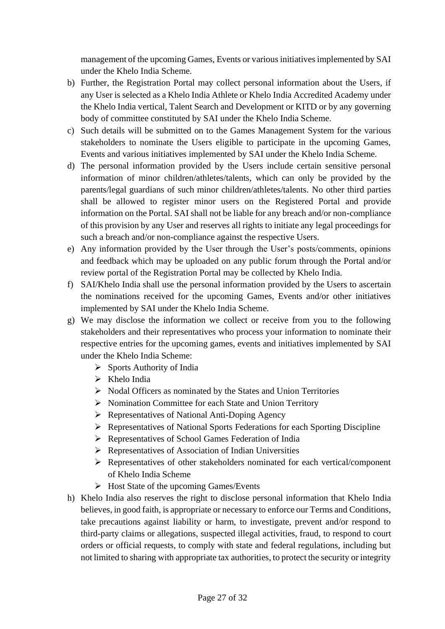management of the upcoming Games, Events or various initiatives implemented by SAI under the Khelo India Scheme.

- b) Further, the Registration Portal may collect personal information about the Users, if any User is selected as a Khelo India Athlete or Khelo India Accredited Academy under the Khelo India vertical, Talent Search and Development or KITD or by any governing body of committee constituted by SAI under the Khelo India Scheme.
- c) Such details will be submitted on to the Games Management System for the various stakeholders to nominate the Users eligible to participate in the upcoming Games, Events and various initiatives implemented by SAI under the Khelo India Scheme.
- d) The personal information provided by the Users include certain sensitive personal information of minor children/athletes/talents, which can only be provided by the parents/legal guardians of such minor children/athletes/talents. No other third parties shall be allowed to register minor users on the Registered Portal and provide information on the Portal. SAI shall not be liable for any breach and/or non-compliance of this provision by any User and reserves all rights to initiate any legal proceedings for such a breach and/or non-compliance against the respective Users.
- e) Any information provided by the User through the User's posts/comments, opinions and feedback which may be uploaded on any public forum through the Portal and/or review portal of the Registration Portal may be collected by Khelo India.
- f) SAI/Khelo India shall use the personal information provided by the Users to ascertain the nominations received for the upcoming Games, Events and/or other initiatives implemented by SAI under the Khelo India Scheme.
- g) We may disclose the information we collect or receive from you to the following stakeholders and their representatives who process your information to nominate their respective entries for the upcoming games, events and initiatives implemented by SAI under the Khelo India Scheme:
	- ➢ Sports Authority of India
	- ➢ Khelo India
	- ➢ Nodal Officers as nominated by the States and Union Territories
	- ➢ Nomination Committee for each State and Union Territory
	- ➢ Representatives of National Anti-Doping Agency
	- ➢ Representatives of National Sports Federations for each Sporting Discipline
	- ➢ Representatives of School Games Federation of India
	- ➢ Representatives of Association of Indian Universities
	- ➢ Representatives of other stakeholders nominated for each vertical/component of Khelo India Scheme
	- ➢ Host State of the upcoming Games/Events
- h) Khelo India also reserves the right to disclose personal information that Khelo India believes, in good faith, is appropriate or necessary to enforce our Terms and Conditions, take precautions against liability or harm, to investigate, prevent and/or respond to third-party claims or allegations, suspected illegal activities, fraud, to respond to court orders or official requests, to comply with state and federal regulations, including but not limited to sharing with appropriate tax authorities, to protect the security or integrity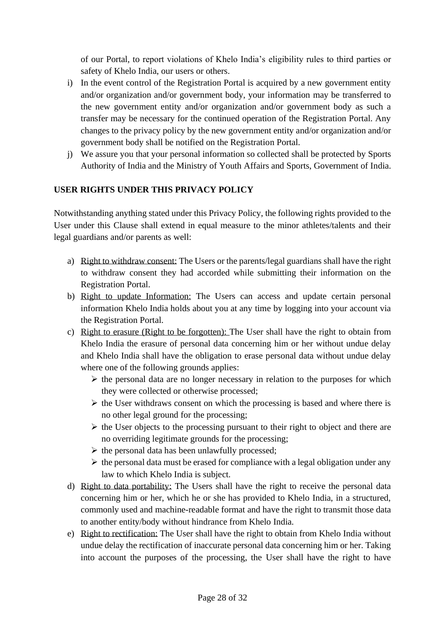of our Portal, to report violations of Khelo India's eligibility rules to third parties or safety of Khelo India, our users or others.

- i) In the event control of the Registration Portal is acquired by a new government entity and/or organization and/or government body, your information may be transferred to the new government entity and/or organization and/or government body as such a transfer may be necessary for the continued operation of the Registration Portal. Any changes to the privacy policy by the new government entity and/or organization and/or government body shall be notified on the Registration Portal.
- j) We assure you that your personal information so collected shall be protected by Sports Authority of India and the Ministry of Youth Affairs and Sports, Government of India.

### **USER RIGHTS UNDER THIS PRIVACY POLICY**

Notwithstanding anything stated under this Privacy Policy, the following rights provided to the User under this Clause shall extend in equal measure to the minor athletes/talents and their legal guardians and/or parents as well:

- a) Right to withdraw consent: The Users or the parents/legal guardians shall have the right to withdraw consent they had accorded while submitting their information on the Registration Portal.
- b) Right to update Information: The Users can access and update certain personal information Khelo India holds about you at any time by logging into your account via the Registration Portal.
- c) Right to erasure (Right to be forgotten): The User shall have the right to obtain from Khelo India the erasure of personal data concerning him or her without undue delay and Khelo India shall have the obligation to erase personal data without undue delay where one of the following grounds applies:
	- $\triangleright$  the personal data are no longer necessary in relation to the purposes for which they were collected or otherwise processed;
	- $\triangleright$  the User withdraws consent on which the processing is based and where there is no other legal ground for the processing;
	- $\triangleright$  the User objects to the processing pursuant to their right to object and there are no overriding legitimate grounds for the processing;
	- $\triangleright$  the personal data has been unlawfully processed;
	- $\triangleright$  the personal data must be erased for compliance with a legal obligation under any law to which Khelo India is subject.
- d) Right to data portability: The Users shall have the right to receive the personal data concerning him or her, which he or she has provided to Khelo India, in a structured, commonly used and machine-readable format and have the right to transmit those data to another entity/body without hindrance from Khelo India.
- e) Right to rectification: The User shall have the right to obtain from Khelo India without undue delay the rectification of inaccurate personal data concerning him or her. Taking into account the purposes of the processing, the User shall have the right to have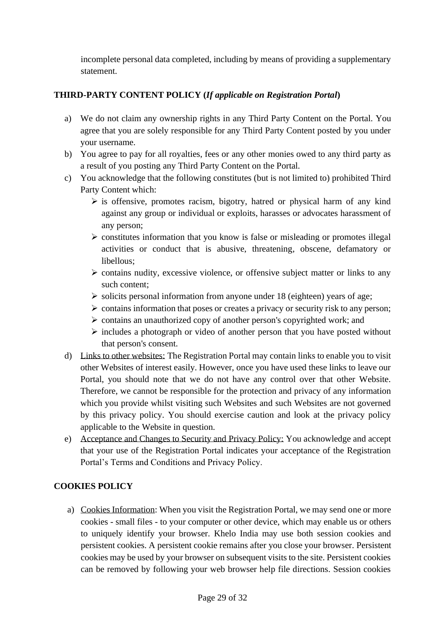incomplete personal data completed, including by means of providing a supplementary statement.

## **THIRD-PARTY CONTENT POLICY (***If applicable on Registration Portal***)**

- a) We do not claim any ownership rights in any Third Party Content on the Portal. You agree that you are solely responsible for any Third Party Content posted by you under your username.
- b) You agree to pay for all royalties, fees or any other monies owed to any third party as a result of you posting any Third Party Content on the Portal.
- c) You acknowledge that the following constitutes (but is not limited to) prohibited Third Party Content which:
	- $\triangleright$  is offensive, promotes racism, bigotry, hatred or physical harm of any kind against any group or individual or exploits, harasses or advocates harassment of any person;
	- ➢ constitutes information that you know is false or misleading or promotes illegal activities or conduct that is abusive, threatening, obscene, defamatory or libellous;
	- ➢ contains nudity, excessive violence, or offensive subject matter or links to any such content;
	- $\triangleright$  solicits personal information from anyone under 18 (eighteen) years of age;
	- ➢ contains information that poses or creates a privacy or security risk to any person;
	- ➢ contains an unauthorized copy of another person's copyrighted work; and
	- ➢ includes a photograph or video of another person that you have posted without that person's consent.
- d) Links to other websites: The Registration Portal may contain links to enable you to visit other Websites of interest easily. However, once you have used these links to leave our Portal, you should note that we do not have any control over that other Website. Therefore, we cannot be responsible for the protection and privacy of any information which you provide whilst visiting such Websites and such Websites are not governed by this privacy policy. You should exercise caution and look at the privacy policy applicable to the Website in question.
- e) Acceptance and Changes to Security and Privacy Policy: You acknowledge and accept that your use of the Registration Portal indicates your acceptance of the Registration Portal's Terms and Conditions and Privacy Policy.

## **COOKIES POLICY**

a) Cookies Information: When you visit the Registration Portal, we may send one or more cookies - small files - to your computer or other device, which may enable us or others to uniquely identify your browser. Khelo India may use both session cookies and persistent cookies. A persistent cookie remains after you close your browser. Persistent cookies may be used by your browser on subsequent visits to the site. Persistent cookies can be removed by following your web browser help file directions. Session cookies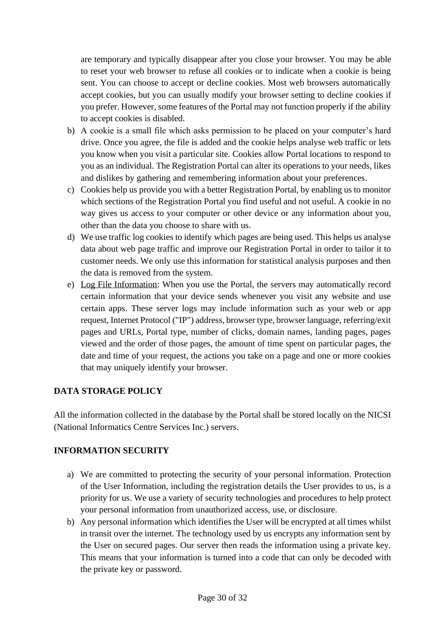are temporary and typically disappear after you close your browser. You may be able to reset your web browser to refuse all cookies or to indicate when a cookie is being sent. You can choose to accept or decline cookies. Most web browsers automatically accept cookies, but you can usually modify your browser setting to decline cookies if you prefer. However, some features of the Portal may not function properly if the ability to accept cookies is disabled.

- b) A cookie is a small file which asks permission to be placed on your computer's hard drive. Once you agree, the file is added and the cookie helps analyse web traffic or lets you know when you visit a particular site. Cookies allow Portal locations to respond to you as an individual. The Registration Portal can alter its operations to your needs, likes and dislikes by gathering and remembering information about your preferences.
- c) Cookies help us provide you with a better Registration Portal, by enabling us to monitor which sections of the Registration Portal you find useful and not useful. A cookie in no way gives us access to your computer or other device or any information about you, other than the data you choose to share with us.
- d) We use traffic log cookies to identify which pages are being used. This helps us analyse data about web page traffic and improve our Registration Portal in order to tailor it to customer needs. We only use this information for statistical analysis purposes and then the data is removed from the system.
- e) Log File Information: When you use the Portal, the servers may automatically record certain information that your device sends whenever you visit any website and use certain apps. These server logs may include information such as your web or app request, Internet Protocol ("IP") address, browser type, browser language, referring/exit pages and URLs, Portal type, number of clicks, domain names, landing pages, pages viewed and the order of those pages, the amount of time spent on particular pages, the date and time of your request, the actions you take on a page and one or more cookies that may uniquely identify your browser.

## **DATA STORAGE POLICY**

All the information collected in the database by the Portal shall be stored locally on the NICSI (National Informatics Centre Services Inc.) servers.

### **INFORMATION SECURITY**

- a) We are committed to protecting the security of your personal information. Protection of the User Information, including the registration details the User provides to us, is a priority for us. We use a variety of security technologies and procedures to help protect your personal information from unauthorized access, use, or disclosure.
- b) Any personal information which identifies the User will be encrypted at all times whilst in transit over the internet. The technology used by us encrypts any information sent by the User on secured pages. Our server then reads the information using a private key. This means that your information is turned into a code that can only be decoded with the private key or password.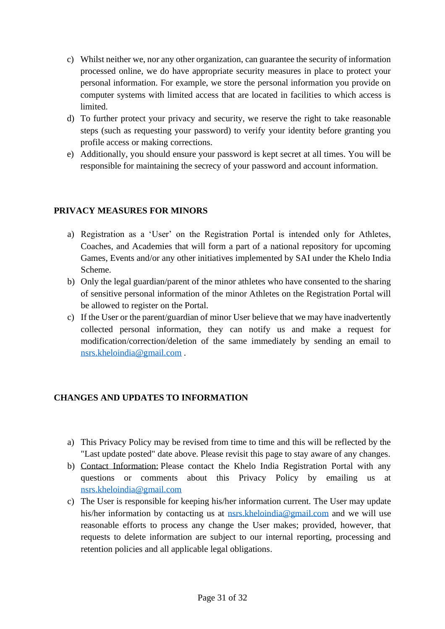- c) Whilst neither we, nor any other organization, can guarantee the security of information processed online, we do have appropriate security measures in place to protect your personal information. For example, we store the personal information you provide on computer systems with limited access that are located in facilities to which access is limited.
- d) To further protect your privacy and security, we reserve the right to take reasonable steps (such as requesting your password) to verify your identity before granting you profile access or making corrections.
- e) Additionally, you should ensure your password is kept secret at all times. You will be responsible for maintaining the secrecy of your password and account information.

## **PRIVACY MEASURES FOR MINORS**

- a) Registration as a 'User' on the Registration Portal is intended only for Athletes, Coaches, and Academies that will form a part of a national repository for upcoming Games, Events and/or any other initiatives implemented by SAI under the Khelo India Scheme.
- b) Only the legal guardian/parent of the minor athletes who have consented to the sharing of sensitive personal information of the minor Athletes on the Registration Portal will be allowed to register on the Portal.
- c) If the User or the parent/guardian of minor User believe that we may have inadvertently collected personal information, they can notify us and make a request for modification/correction/deletion of the same immediately by sending an email to [nsrs.kheloindia@gmail.com](mailto:nsrs.kheloindia@gmail.com) .

## **CHANGES AND UPDATES TO INFORMATION**

- a) This Privacy Policy may be revised from time to time and this will be reflected by the "Last update posted" date above. Please revisit this page to stay aware of any changes.
- b) Contact Information: Please contact the Khelo India Registration Portal with any questions or comments about this Privacy Policy by emailing us at [nsrs.kheloindia@gmail.com](mailto:nsrs.kheloindia@gmail.com)
- c) The User is responsible for keeping his/her information current. The User may update his/her information by contacting us at [nsrs.kheloindia@gmail.com](mailto:nsrs.kheloindia@gmail.com) and we will use reasonable efforts to process any change the User makes; provided, however, that requests to delete information are subject to our internal reporting, processing and retention policies and all applicable legal obligations.